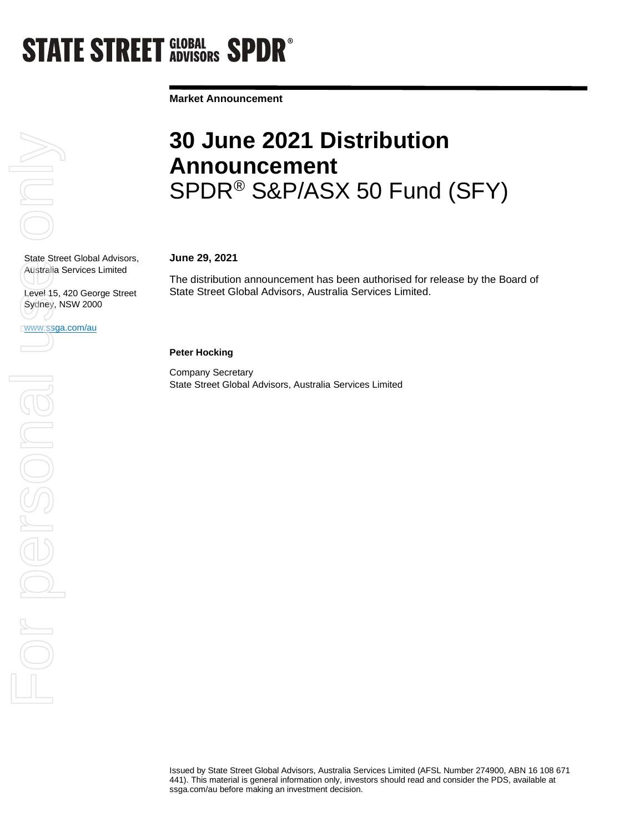## **STATE STREET GLOBAL SPDR<sup>®</sup>**

**Market Announcement**

# $\overline{\subseteq}$

State Street Global Advisors, Australia Services Limited

Level 15, 420 George Street Sydney, NSW 2000

www.ssga.com/au

### **Peter Hocking**

**June 29, 2021**

Company Secretary State Street Global Advisors, Australia Services Limited

State Street Global Advisors, Australia Services Limited.

## **30 June 2021 Distribution Announcement**  SPDR® S&P/ASX 50 Fund (SFY)

The distribution announcement has been authorised for release by the Board of

Issued by State Street Global Advisors, Australia Services Limited (AFSL Number 274900, ABN 16 108 671 441). This material is general information only, investors should read and consider the PDS, available at ssga.com/au before making an investment decision.

State Street Globa<br>Australia Services<br>Level 15, 420 Geo<br>WWW.Ssga.com/au<br>Comparison on the Clock of Sydney, NSW 200 For personal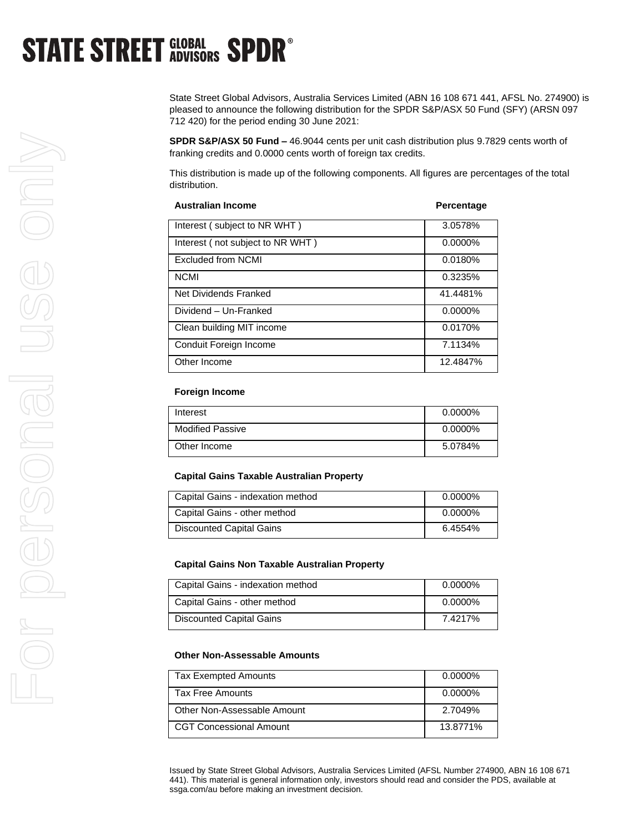## **STATE STREET GLOBAL SPDR<sup>®</sup>**

State Street Global Advisors, Australia Services Limited (ABN 16 108 671 441, AFSL No. 274900) is pleased to announce the following distribution for the SPDR S&P/ASX 50 Fund (SFY) (ARSN 097 712 420) for the period ending 30 June 2021:

**SPDR S&P/ASX 50 Fund –** 46.9044 cents per unit cash distribution plus 9.7829 cents worth of franking credits and 0.0000 cents worth of foreign tax credits.

This distribution is made up of the following components. All figures are percentages of the total distribution.

| <b>Australian Income</b>         | Percentage |
|----------------------------------|------------|
| Interest (subject to NR WHT)     | 3.0578%    |
| Interest (not subject to NR WHT) | $0.0000\%$ |
| <b>Excluded from NCMI</b>        | 0.0180%    |
| <b>NCMI</b>                      | 0.3235%    |
| Net Dividends Franked            | 41.4481%   |
| Dividend - Un-Franked            | $0.0000\%$ |
| Clean building MIT income        | 0.0170%    |
| Conduit Foreign Income           | 7.1134%    |
| Other Income                     | 12.4847%   |

#### **Foreign Income**

| Interest                | $0.0000\%$ |
|-------------------------|------------|
| <b>Modified Passive</b> | $0.0000\%$ |
| Other Income            | 5.0784%    |

#### **Capital Gains Taxable Australian Property**

| Capital Gains - indexation method | $0.0000\%$ |
|-----------------------------------|------------|
| Capital Gains - other method      | $0.0000\%$ |
| <b>Discounted Capital Gains</b>   | 6.4554%    |

#### **Capital Gains Non Taxable Australian Property**

| Capital Gains - indexation method | $0.0000\%$ |
|-----------------------------------|------------|
| Capital Gains - other method      | $0.0000\%$ |
| <b>Discounted Capital Gains</b>   | 7.4217%    |

#### **Other Non-Assessable Amounts**

| <b>Tax Exempted Amounts</b>    | $0.0000\%$ |
|--------------------------------|------------|
| <b>Tax Free Amounts</b>        | $0.0000\%$ |
| Other Non-Assessable Amount    | 2.7049%    |
| <b>CGT Concessional Amount</b> | 13.8771%   |

Issued by State Street Global Advisors, Australia Services Limited (AFSL Number 274900, ABN 16 108 671 441). This material is general information only, investors should read and consider the PDS, available at ssga.com/au before making an investment decision.